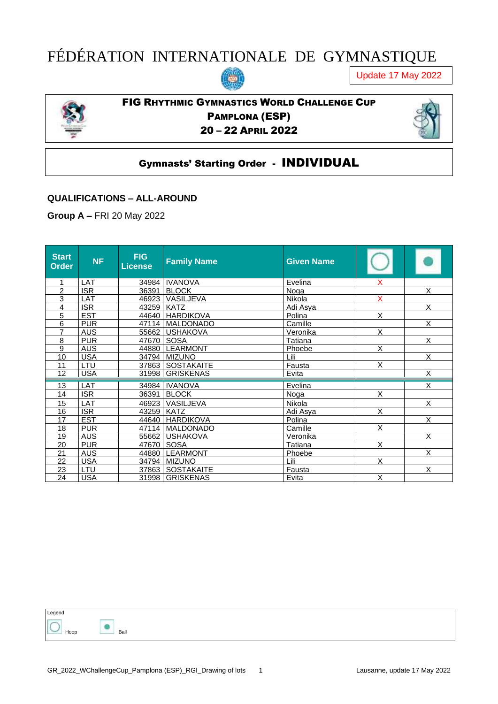# FÉDÉRATION INTERNATIONALE DE GYMNASTIQUE

Update 17 May 2022



FIG RHYTHMIC GYMNASTICS WORLD CHALLENGE CUP PAMPLONA (ESP) – 22 APRIL 2022



## Gymnasts' Starting Order - INDIVIDUAL

#### **QUALIFICATIONS – ALL-AROUND**

**Group A –** FRI 20 May 2022

| <b>Start</b><br><b>Order</b> | <b>NF</b>  | <b>FIG</b><br><b>License</b> | <b>Family Name</b>         | <b>Given Name</b> |          |                         |
|------------------------------|------------|------------------------------|----------------------------|-------------------|----------|-------------------------|
|                              | LAT        |                              | 34984   IVANOVA            | Evelina           | х        |                         |
| 2                            | <b>ISR</b> |                              | 36391 BLOCK                | Noga              |          | $\overline{\mathsf{x}}$ |
| 3                            | LAT        |                              | 46923 VASILJEVA            | Nikola            | <b>X</b> |                         |
| 4                            | <b>ISR</b> | 43259   KATZ                 |                            | Adi Asya          |          | $\overline{X}$          |
| 5                            | <b>EST</b> |                              | 44640 HARDIKOVA            | Polina            | X        |                         |
| 6                            | <b>PUR</b> |                              | 47114   MALDONADO          | Camille           |          | $\overline{X}$          |
| $\overline{7}$               | <b>AUS</b> |                              | 55662   USHAKOVA           | Veronika          | X        |                         |
| 8                            | <b>PUR</b> |                              | 47670 SOSA                 | Tatiana           |          | X                       |
| 9                            | <b>AUS</b> |                              | 44880 LEARMONT             | Phoebe            | X        |                         |
| 10                           | <b>USA</b> |                              | Lili<br>34794 MIZUNO       |                   |          | X                       |
| 11                           | LTU        |                              | 37863 SOSTAKAITE<br>Fausta |                   | X        |                         |
| 12                           | <b>USA</b> |                              | 31998   GRISKENAS          | Evita             |          | X                       |
| 13                           | LAT        |                              | 34984   IVANOVA<br>Evelina |                   |          | X                       |
| 14                           | <b>ISR</b> | 36391                        | <b>BLOCK</b>               | Noga              | X        |                         |
| 15                           | LAT        |                              | 46923   VASILJEVA          | Nikola            |          | X                       |
| 16                           | <b>ISR</b> | 43259 KATZ                   |                            | Adi Asya          | X        |                         |
| 17                           | <b>EST</b> |                              | 44640 HARDIKOVA            | Polina            |          | X                       |
| 18                           | <b>PUR</b> |                              | 47114   MALDONADO          | Camille           | X        |                         |
| 19                           | <b>AUS</b> |                              | 55662 USHAKOVA             | Veronika          |          | $\overline{\mathsf{x}}$ |
| 20                           | <b>PUR</b> |                              | 47670 SOSA                 | Tatiana           | X        |                         |
| 21                           | <b>AUS</b> |                              | 44880   LEARMONT           | Phoebe            |          | X                       |
| 22                           | <b>USA</b> |                              | 34794 MIZUNO               | Lili              | X        |                         |
| 23                           | LTU        |                              | 37863   SOSTAKAITE         | Fausta            |          | X                       |
| 24                           | <b>USA</b> |                              | 31998 GRISKENAS            | Evita             | X        |                         |

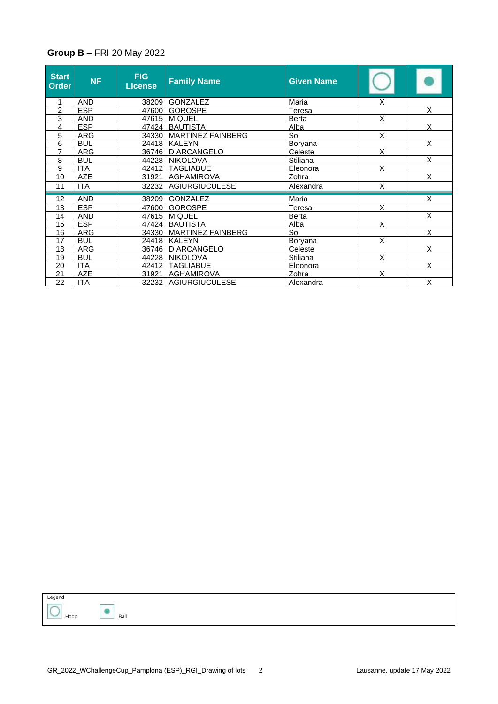#### **Group B –** FRI 20 May 2022

| <b>Start</b><br>Order | <b>NF</b>  | <b>FIG</b><br><b>License</b> | <b>Family Name</b>        | <b>Given Name</b> |                |                         |
|-----------------------|------------|------------------------------|---------------------------|-------------------|----------------|-------------------------|
| 1                     | <b>AND</b> | 38209                        | GONZALEZ                  | Maria             | X              |                         |
| $\overline{2}$        | <b>ESP</b> |                              | 47600 GOROSPE             | <b>Teresa</b>     |                | X                       |
| 3                     | <b>AND</b> | 47615                        | <b>MIQUEL</b>             | <b>Berta</b>      | X              |                         |
| 4                     | <b>ESP</b> |                              | 47424   BAUTISTA          | Alba              |                | X                       |
| 5                     | <b>ARG</b> |                              | 34330   MARTINEZ FAINBERG | Sol               | Χ              |                         |
| 6                     | <b>BUL</b> |                              | 24418 KALEYN              | Boryana           |                | X                       |
| $\overline{7}$        | <b>ARG</b> |                              | 36746   D ARCANGELO       | Celeste           | X              |                         |
| 8                     | <b>BUL</b> |                              | 44228 NIKOLOVA            | Stiliana          |                | $\overline{\mathsf{x}}$ |
| 9                     | <b>ITA</b> |                              | 42412   TAGLIABUE         | Eleonora          | X              |                         |
| 10                    | <b>AZE</b> | 31921                        | <b>AGHAMIROVA</b>         | Zohra             |                | X                       |
| 11                    | <b>ITA</b> |                              | 32232   AGIURGIUCULESE    | Alexandra         | X              |                         |
| 12                    | <b>AND</b> | 38209                        | GONZALEZ                  | Maria             |                | X                       |
| 13                    | <b>ESP</b> | 47600                        | <b>GOROSPE</b>            | Teresa            | X              |                         |
| 14                    | <b>AND</b> | 47615                        | <b>MIQUEL</b>             | Berta             |                | X                       |
| 15                    | <b>ESP</b> |                              | 47424   BAUTISTA          | Alba              | X              |                         |
| 16                    | <b>ARG</b> |                              | 34330   MARTINEZ FAINBERG | Sol               |                | X                       |
| 17                    | <b>BUL</b> |                              | 24418   KALEYN            | Boryana           | X              |                         |
| 18                    | <b>ARG</b> | 36746                        | D ARCANGELO               | Celeste           |                | $\overline{\mathsf{x}}$ |
| 19                    | <b>BUL</b> |                              | 44228   NIKOLOVA          | <b>Stiliana</b>   | $\overline{X}$ |                         |
| 20                    | <b>ITA</b> | 42412                        | <b>TAGLIABUE</b>          | Eleonora          |                | X                       |
| 21                    | <b>AZE</b> | 31921                        | <b>AGHAMIROVA</b>         | Zohra             | X              |                         |
| 22                    | <b>ITA</b> |                              | 32232 AGIURGIUCULESE      | Alexandra         |                | X                       |

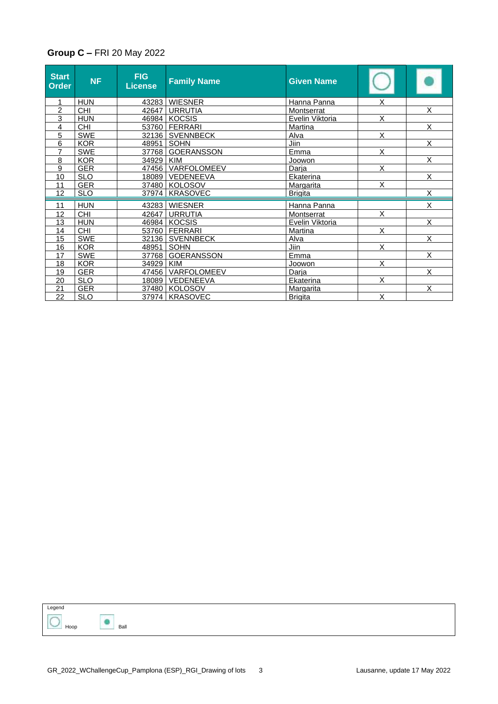#### **Group C –** FRI 20 May 2022

| <b>Start</b><br>Order | <b>NF</b>       | <b>FIG</b><br><b>License</b> | <b>Family Name</b> | <b>Given Name</b> |                         |                         |
|-----------------------|-----------------|------------------------------|--------------------|-------------------|-------------------------|-------------------------|
|                       | <b>HUN</b>      | 43283                        | <b>WIESNER</b>     | Hanna Panna       | X                       |                         |
| $\overline{2}$        | $\overline{CH}$ | 42647                        | <b>URRUTIA</b>     | Montserrat        |                         | $\overline{\mathsf{x}}$ |
| 3                     | <b>HUN</b>      |                              | 46984 KOCSIS       | Evelin Viktoria   | X                       |                         |
| 4                     | <b>CHI</b>      | 53760                        | <b>FERRARI</b>     | Martina           |                         | $\overline{X}$          |
| 5                     | <b>SWE</b>      |                              | 32136 SVENNBECK    | Alva              | X                       |                         |
| 6                     | <b>KOR</b>      | 48951                        | <b>SOHN</b>        | Jiin              |                         | X                       |
| $\overline{7}$        | <b>SWE</b>      | 37768                        | <b>GOERANSSON</b>  | Emma              | $\overline{\mathsf{x}}$ |                         |
| 8                     | <b>KOR</b>      | 34929                        | <b>KIM</b>         | Joowon            |                         | X                       |
| 9                     | <b>GER</b>      | 47456                        | VARFOLOMEEV        | Darja             | X                       |                         |
| 10                    | <b>SLO</b>      | 18089                        | VEDENEEVA          | Ekaterina         |                         | X                       |
| 11                    | <b>GER</b>      | 37480                        | <b>KOLOSOV</b>     | <b>Margarita</b>  | X                       |                         |
| 12                    | <b>SLO</b>      | 37974                        | <b>KRASOVEC</b>    | <b>Brigita</b>    |                         | X                       |
|                       |                 |                              |                    |                   |                         |                         |
| 11                    | <b>HUN</b>      | 43283                        | <b>WIESNER</b>     | Hanna Panna       |                         | X                       |
| 12                    | <b>CHI</b>      | 42647                        | <b>URRUTIA</b>     | Montserrat        | X                       |                         |
| 13                    | <b>HUN</b>      | 46984                        | <b>KOCSIS</b>      | Evelin Viktoria   |                         | $\overline{\mathsf{x}}$ |
| 14                    | <b>CHI</b>      | 53760                        | FERRARI            | Martina           | X                       |                         |
| 15                    | <b>SWE</b>      | 32136                        | <b>SVENNBECK</b>   | Alva              |                         | $\overline{\mathsf{x}}$ |
| 16                    | <b>KOR</b>      | 48951                        | <b>SOHN</b>        | Jiin              | X                       |                         |
| 17                    | <b>SWE</b>      | 37768                        | <b>GOERANSSON</b>  | Emma              |                         | X                       |
| 18                    | <b>KOR</b>      | 34929                        | <b>KIM</b>         | Joowon            | X                       |                         |
| 19                    | <b>GER</b>      | 47456                        | VARFOLOMEEV        | Darja             |                         | X                       |
| 20                    | <b>SLO</b>      | 18089                        | VEDENEEVA          | Ekaterina         | $\overline{X}$          |                         |
| 21                    | <b>GER</b>      | 37480                        | <b>KOLOSOV</b>     | <b>Margarita</b>  |                         | X                       |
| 22                    | <b>SLO</b>      |                              | 37974   KRASOVEC   | <b>Brigita</b>    | X                       |                         |

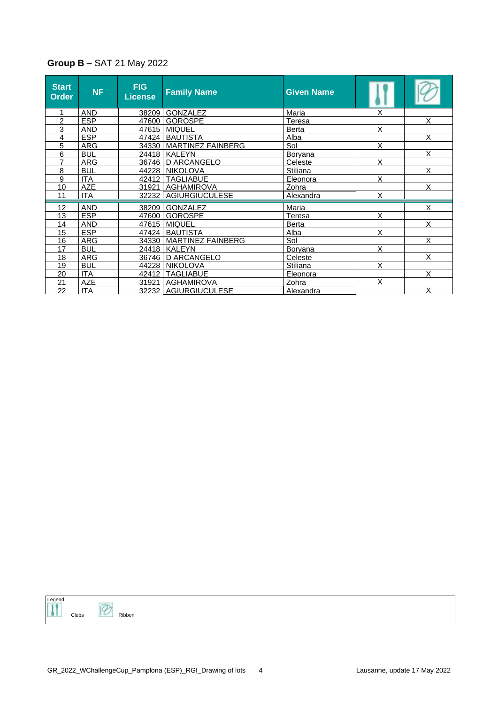### **Group B –** SAT 21 May 2022

| <b>Start</b><br><b>Order</b> | <b>NF</b>  | <b>FIG</b><br>License | <b>Family Name</b>       | <b>Given Name</b> |   |   |
|------------------------------|------------|-----------------------|--------------------------|-------------------|---|---|
|                              | <b>AND</b> |                       | 38209 GONZALEZ           | Maria             | X |   |
| 2                            | <b>ESP</b> |                       | 47600 GOROSPE            | <b>Teresa</b>     |   | X |
| 3                            | AND        | 47615                 | <b>MIQUEL</b>            | X<br><b>Berta</b> |   |   |
| 4                            | <b>ESP</b> |                       | 47424   BAUTISTA         | Alba              |   | X |
| 5                            | ARG        | 34330                 | <b>MARTINEZ FAINBERG</b> | Sol               | X |   |
| 6                            | <b>BUL</b> |                       | 24418   KALEYN           | <b>Boryana</b>    |   | X |
| $\overline{7}$               | <b>ARG</b> | 36746                 | D ARCANGELO              | Celeste           | X |   |
| 8                            | <b>BUL</b> |                       | 44228   NIKOLOVA         | Stiliana          |   | X |
| 9                            | <b>ITA</b> |                       | 42412   TAGLIABUE        | Eleonora          | Χ |   |
| 10                           | AZE        | 31921                 | AGHAMIROVA               | Zohra             |   | X |
| 11                           | ITA        |                       | 32232   AGIURGIUCULESE   | Alexandra         | X |   |
| 12                           | <b>AND</b> | 38209                 | <b>GONZALEZ</b>          | Maria             |   | X |
| 13                           | <b>ESP</b> |                       | 47600 GOROSPE            | <b>Teresa</b>     | X |   |
| 14                           | <b>AND</b> | 47615                 | <b>MIQUEL</b>            | Berta             |   | X |
| 15                           | <b>ESP</b> | 47424                 | <b>BAUTISTA</b>          | Alba              | X |   |
| 16                           | ARG        | 34330                 | <b>MARTINEZ FAINBERG</b> | Sol               |   | X |
| 17                           | <b>BUL</b> |                       | 24418   KALEYN           | <b>Boryana</b>    | X |   |
| 18                           | <b>ARG</b> | 36746                 | D ARCANGELO              | Celeste           |   | X |
| 19                           | <b>BUL</b> |                       | 44228   NIKOLOVA         | <b>Stiliana</b>   | X |   |
| 20                           | <b>ITA</b> | 42412                 | <b>TAGLIABUE</b>         | Eleonora          |   | X |
| 21                           | <b>AZE</b> | 31921                 | <b>AGHAMIROVA</b>        | Zohra             | X |   |
| 22                           | <b>ITA</b> |                       | 32232 AGIURGIUCULESE     | Alexandra         |   | X |

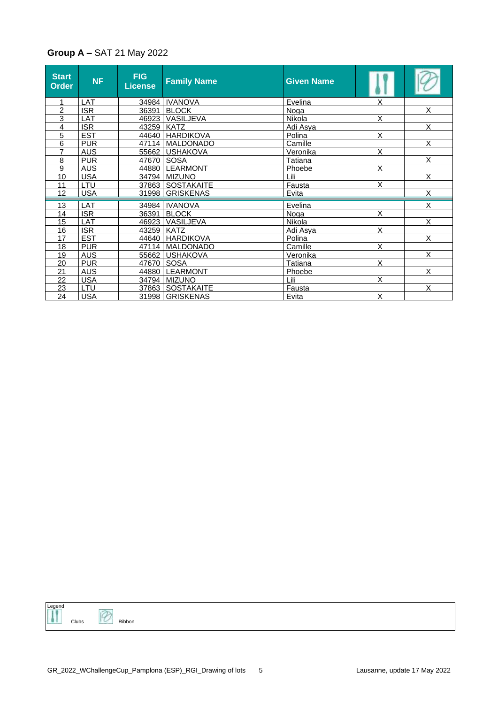### **Group A –** SAT 21 May 2022

| <b>Start</b><br><b>Order</b> | <b>NF</b>  | <b>FIG</b><br><b>License</b> | <b>Family Name</b> | <b>Given Name</b> |                         |                         |
|------------------------------|------------|------------------------------|--------------------|-------------------|-------------------------|-------------------------|
| 1                            | LAT        |                              | 34984   IVANOVA    | Evelina           | X                       |                         |
| $\overline{c}$               | <b>ISR</b> |                              | 36391 BLOCK        | Noga              |                         | $\overline{X}$          |
| 3                            | LAT        |                              | 46923 VASILJEVA    | Nikola            | X                       |                         |
| 4                            | <b>ISR</b> | 43259 KATZ                   |                    | Adi Asya          |                         | $\overline{\mathsf{x}}$ |
| $\overline{5}$               | <b>EST</b> |                              | 44640 HARDIKOVA    | Polina            | $\overline{\mathsf{x}}$ |                         |
| 6                            | <b>PUR</b> |                              | 47114   MALDONADO  | Camille           |                         | $\overline{X}$          |
| $\overline{7}$               | <b>AUS</b> |                              | 55662   USHAKOVA   | Veronika          | $\overline{X}$          |                         |
| 8                            | <b>PUR</b> |                              | 47670 SOSA         | Tatiana           |                         | X                       |
| 9                            | <b>AUS</b> |                              | 44880   LEARMONT   | Phoebe            | X                       |                         |
| 10                           | <b>USA</b> |                              | 34794 MIZUNO       | Lili              |                         | $\overline{\mathsf{x}}$ |
| 11                           | LTU        |                              | 37863   SOSTAKAITE | Fausta            | X                       |                         |
| 12                           | <b>USA</b> |                              | 31998   GRISKENAS  | Evita             |                         | $\overline{\mathsf{x}}$ |
| 13                           | LAT        |                              | 34984   IVANOVA    | Evelina           |                         | X                       |
| 14                           | <b>ISR</b> | 36391                        | <b>BLOCK</b>       | Noga              | X                       |                         |
| 15                           | LAT        |                              | 46923   VASILJEVA  | Nikola            |                         | $\overline{\mathsf{x}}$ |
| 16                           | <b>ISR</b> |                              | 43259 KATZ         | Adi Asya          | X                       |                         |
| 17                           | <b>EST</b> |                              | 44640   HARDIKOVA  | Polina            |                         | X                       |
| 18                           | <b>PUR</b> |                              | 47114   MALDONADO  | Camille           | X                       |                         |
| 19                           | <b>AUS</b> |                              | 55662 USHAKOVA     | Veronika          |                         | X                       |
| 20                           | <b>PUR</b> |                              | 47670 SOSA         | Tatiana           | $\overline{\mathsf{x}}$ |                         |
| 21                           | <b>AUS</b> |                              | 44880 LEARMONT     | Phoebe            |                         | X                       |
| 22                           | <b>USA</b> |                              | 34794 MIZUNO       | Lili              | X                       |                         |
| 23                           | LTU        |                              | 37863   SOSTAKAITE | Fausta            |                         | X                       |
| 24                           | <b>USA</b> |                              | 31998   GRISKENAS  | Evita             | X                       |                         |

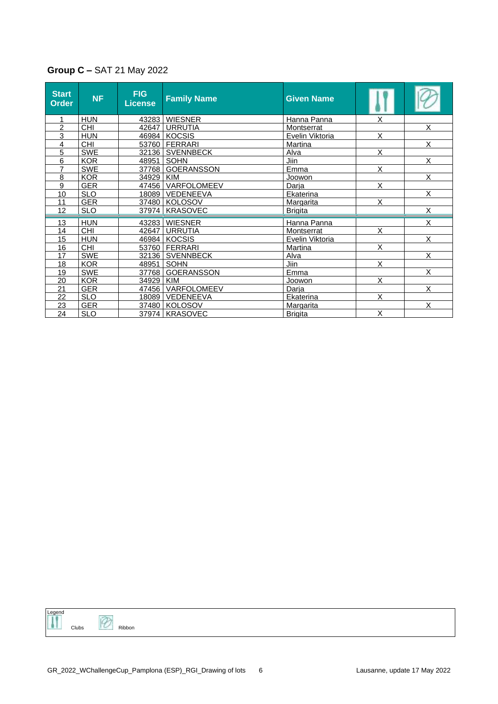| <b>Group C - SAT 21 May 2022</b> |  |
|----------------------------------|--|
|----------------------------------|--|

| <b>Start</b><br><b>Order</b> | <b>NF</b>  | <b>FIG</b><br>License | <b>Family Name</b> | <b>Given Name</b> |                         |                         |
|------------------------------|------------|-----------------------|--------------------|-------------------|-------------------------|-------------------------|
|                              | <b>HUN</b> |                       | 43283   WIESNER    | Hanna Panna       | X                       |                         |
| $\overline{2}$               | <b>CHI</b> | 42647                 | <b>URRUTIA</b>     | Montserrat        |                         | X                       |
| 3                            | <b>HUN</b> |                       | 46984 KOCSIS       | Evelin Viktoria   | $\overline{\mathsf{x}}$ |                         |
| 4                            | <b>CHI</b> |                       | 53760   FERRARI    | Martina           |                         | X                       |
| 5                            | <b>SWE</b> |                       | 32136 SVENNBECK    | Alva              | X                       |                         |
| 6                            | <b>KOR</b> |                       | 48951 SOHN         | Jiin              |                         | X                       |
| 7                            | <b>SWE</b> |                       | 37768   GOERANSSON | Emma              | X                       |                         |
| 8                            | <b>KOR</b> | 34929 KIM             |                    | Joowon            |                         | $\overline{\mathsf{x}}$ |
| 9                            | <b>GER</b> |                       | 47456 VARFOLOMEEV  | Darja             | X                       |                         |
| 10                           | <b>SLO</b> |                       | 18089   VEDENEEVA  | Ekaterina         |                         | $\overline{\mathsf{x}}$ |
| 11                           | <b>GER</b> |                       | 37480   KOLOSOV    | <b>Margarita</b>  | X                       |                         |
| 12                           | <b>SLO</b> | 37974                 | <b>KRASOVEC</b>    | <b>Brigita</b>    |                         | X                       |
|                              |            |                       |                    |                   |                         | X                       |
| 13                           | <b>HUN</b> |                       | 43283   WIESNER    | Hanna Panna       |                         |                         |
| 14                           | <b>CHI</b> | 42647                 | <b>URRUTIA</b>     | Montserrat        | X                       |                         |
| 15                           | <b>HUN</b> |                       | 46984 KOCSIS       | Evelin Viktoria   |                         | X                       |
| 16                           | <b>CHI</b> |                       | 53760   FERRARI    | Martina           | X                       |                         |
| 17                           | <b>SWE</b> |                       | 32136 SVENNBECK    | Alva              |                         | X                       |
| 18                           | <b>KOR</b> | 48951                 | SOHN               | Jiin              | X                       |                         |
| 19                           | <b>SWE</b> |                       | 37768 GOERANSSON   | Emma              |                         | $\overline{\mathsf{x}}$ |
| 20                           | <b>KOR</b> | 34929   KIM           |                    | Joowon            | X                       |                         |
| 21                           | <b>GER</b> | 47456                 | VARFOLOMEEV        | Darja             |                         | X                       |
| 22                           | <b>SLO</b> |                       | 18089   VEDENEEVA  | Ekaterina         | X                       |                         |
| 23                           | <b>GER</b> |                       | 37480 KOLOSOV      | <b>Margarita</b>  |                         | X                       |
| 24                           | <b>SLO</b> |                       | 37974   KRASOVEC   | <b>Brigita</b>    | X                       |                         |